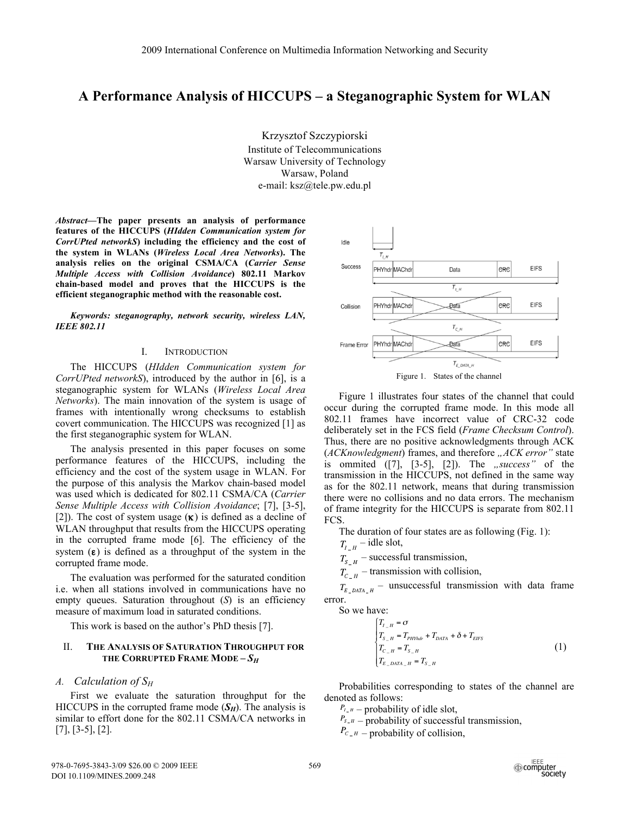# **A Performance Analysis of HICCUPS – a Steganographic System for WLAN**

Krzysztof Szczypiorski Institute of Telecommunications Warsaw University of Technology Warsaw, Poland e-mail: ksz@tele.pw.edu.pl

*Abstract***—The paper presents an analysis of performance features of the HICCUPS (***HIdden Communication system for CorrUPted networkS***) including the efficiency and the cost of the system in WLANs (***Wireless Local Area Networks***). The analysis relies on the original CSMA/CA (***Carrier Sense Multiple Access with Collision Avoidance***) 802.11 Markov chain-based model and proves that the HICCUPS is the efficient steganographic method with the reasonable cost.** 

*Keywords: steganography, network security, wireless LAN, IEEE 802.11* 

### I. INTRODUCTION

The HICCUPS (*HIdden Communication system for CorrUPted networkS*), introduced by the author in [6], is a steganographic system for WLANs (*Wireless Local Area Networks*). The main innovation of the system is usage of frames with intentionally wrong checksums to establish covert communication. The HICCUPS was recognized [1] as the first steganographic system for WLAN.

The analysis presented in this paper focuses on some performance features of the HICCUPS, including the efficiency and the cost of the system usage in WLAN. For the purpose of this analysis the Markov chain-based model was used which is dedicated for 802.11 CSMA/CA (*Carrier Sense Multiple Access with Collision Avoidance*; [7], [3-5], [2]). The cost of system usage  $(\kappa)$  is defined as a decline of WLAN throughput that results from the HICCUPS operating in the corrupted frame mode [6]. The efficiency of the system  $(\epsilon)$  is defined as a throughput of the system in the corrupted frame mode.

The evaluation was performed for the saturated condition i.e. when all stations involved in communications have no empty queues. Saturation throughout (*S*) is an efficiency measure of maximum load in saturated conditions.

This work is based on the author's PhD thesis [7].

#### II. **THE ANALYSIS OF SATURATION THROUGHPUT FOR THE CORRUPTED FRAME MODE –** *SH*

### *A. Calculation of SH*

First we evaluate the saturation throughput for the HICCUPS in the corrupted frame mode  $(S_H)$ . The analysis is similar to effort done for the 802.11 CSMA/CA networks in [7], [3-5], [2].



Figure 1 illustrates four states of the channel that could occur during the corrupted frame mode. In this mode all 802.11 frames have incorrect value of CRC-32 code deliberately set in the FCS field (*Frame Checksum Control*). Thus, there are no positive acknowledgments through ACK (*ACKnowledgment*) frames, and therefore "ACK error" state is ommited ([7], [3-5], [2]). The *"success*" of the transmission in the HICCUPS, not defined in the same way as for the 802.11 network, means that during transmission there were no collisions and no data errors. The mechanism of frame integrity for the HICCUPS is separate from 802.11 FCS.

The duration of four states are as following (Fig. 1):

$$
T_{I_H} - \text{idle slot},
$$

 $T_{s}$  – successful transmission,

 $T_{C/H}$  – transmission with collision,

 $T_{E_{DATA_{H}}}$  – unsuccessful transmission with data frame error.

So we have:

$$
\begin{cases}\nT_{I_{-}H} = \sigma \\
T_{S_{-}H} = T_{PHYndr} + T_{DATA} + \delta + T_{EIFS} \\
T_{C_{-}H} = T_{S_{-}H} \\
T_{E_{-}DATA_{-}H} = T_{S_{-}H}\n\end{cases} (1)
$$

Probabilities corresponding to states of the channel are denoted as follows:

 $P_{l_-\mu}$  – probability of idle slot,

 $P_{s,H}$  – probability of successful transmission,

 $P_{c,H}$  – probability of collision,

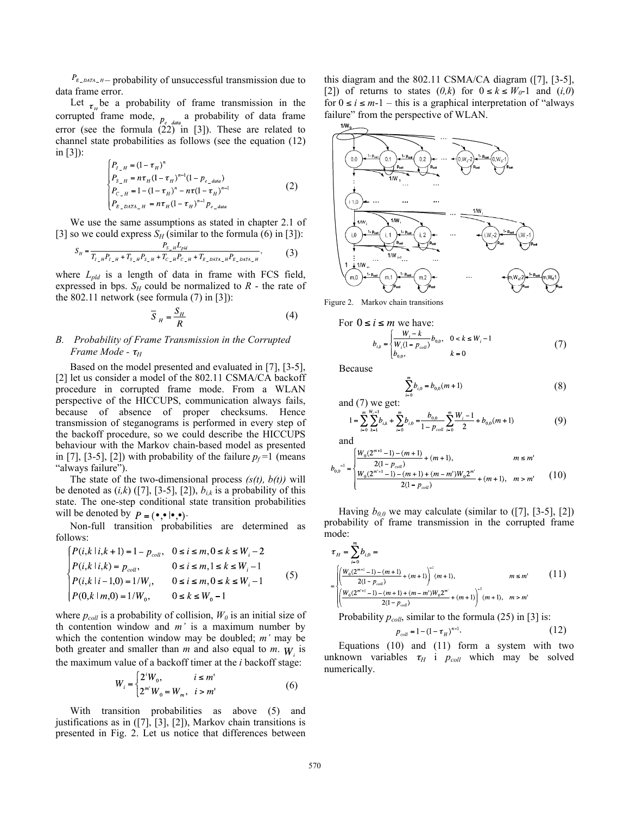$P_{E_D = M T A_H} -$  probability of unsuccessful transmission due to data frame error.

Let  $\tau_{\mu}$  be a probability of frame transmission in the corrupted frame mode,  $_{p_e_{data}}$  a probability of data frame error (see the formula  $(22)$  in [3]). These are related to channel state probabilities as follows (see the equation (12) in [3]):

$$
\begin{cases}\nP_{L,H} = (1 - \tau_H)^n \\
P_{S-H} = n\tau_H (1 - \tau_H)^{n-1} (1 - p_{e\_data}) \\
P_{C-H} = 1 - (1 - \tau_H)^n - n\tau (1 - \tau_H)^{n-1} \\
P_{E\_DATA_H} = n\tau_H (1 - \tau_H)^{n-1} P_{e\_data}\n\end{cases}
$$
\n(2)

We use the same assumptions as stated in chapter 2.1 of [3] so we could express  $S_H$  (similar to the formula (6) in [3]):

$$
S_{H} = \frac{P_{S_{-H}}L_{pbl}}{T_{I_{-H}}P_{I_{-H}} + T_{S_{-H}}P_{S_{-H}} + T_{C_{-H}}P_{C_{-H}} + T_{E_{-DATA_{-H}}P_{E_{-DATA_{-H}}}}},
$$
(3)

where  $L_{pld}$  is a length of data in frame with FCS field, expressed in bps.  $S_H$  could be normalized to  $R$  - the rate of the 802.11 network (see formula (7) in [3]):

$$
\overline{S}_{H} = \frac{S_{H}}{R}
$$
 (4)

# *B. Probability of Frame Transmission in the Corrupted Frame Mode -*  $\tau$ <sup>*H*</sup>

Based on the model presented and evaluated in [7], [3-5], [2] let us consider a model of the 802.11 CSMA/CA backoff procedure in corrupted frame mode. From a WLAN perspective of the HICCUPS, communication always fails, because of absence of proper checksums. Hence transmission of steganograms is performed in every step of the backoff procedure, so we could describe the HICCUPS behaviour with the Markov chain-based model as presented in [7], [3-5], [2]) with probability of the failure  $p_f = 1$  (means "always failure").

The state of the two-dimensional process *(s(t), b(t))* will be denoted as  $(i,k)$  ([7], [3-5], [2]),  $b_{i,k}$  is a probability of this state. The one-step conditional state transition probabilities will be denoted by  $P = (\bullet, \bullet | \bullet, \bullet).$ 

Non-full transition probabilities are determined as follows:

$$
\begin{cases}\nP(i,k|i,k+1) = 1 - p_{coll}, & 0 \le i \le m, 0 \le k \le W_i - 2 \\
P(i,k|i,k) = p_{coll}, & 0 \le i \le m, 1 \le k \le W_i - 1 \\
P(i,k|i-1,0) = 1/W_i, & 0 \le i \le m, 0 \le k \le W_i - 1 \\
P(0,k|m,0) = 1/W_0, & 0 \le k \le W_0 - 1\n\end{cases} \tag{5}
$$

where  $p_{coll}$  is a probability of collision,  $W_0$  is an initial size of th contention window and *m'* is a maximum number by which the contention window may be doubled; *m'* may be both greater and smaller than  $m$  and also equal to  $m$ .  $W$  is the maximum value of a backoff timer at the *i* backoff stage:

$$
W_i = \begin{cases} 2^i W_0, & i \le m' \\ 2^{m'} W_0 = W_m, & i > m' \end{cases}
$$
 (6)

With transition probabilities as above (5) and justifications as in ([7], [3], [2]), Markov chain transitions is presented in Fig. 2. Let us notice that differences between this diagram and the 802.11 CSMA/CA diagram ([7], [3-5], [2]) of returns to states  $(0,k)$  for  $0 \le k \le W_0-1$  and  $(i,0)$ for  $0 \le i \le m-1$  – this is a graphical interpretation of "always" failure" from the perspective of WLAN.



Figure 2. Markov chain transitions

$$
0 \le i \le m \text{ we have:}
$$
  

$$
b_{i,k} = \begin{cases} \frac{W_i - k}{W_i(1 - p_{coll})} b_{0,0}, & 0 < k \le W_i - 1 \\ b_{0,0}, & k = 0 \end{cases}
$$
 (7)

Because

For

$$
\sum_{i=0}^{m} b_{i,0} = b_{0,0}(m+1)
$$
 (8)

and (7) we get:

$$
1 = \sum_{i=0}^{m} \sum_{k=1}^{W_i - 1} b_{i,k} + \sum_{i=0}^{m} b_{i,0} = \frac{b_{0,0}}{1 - p_{coll}} \sum_{i=0}^{m} \frac{W_i - 1}{2} + b_{0,0}(m+1)
$$
(9)

and

$$
b_{0.0}^{-1} = \begin{cases} \frac{W_0(2^{m+1}-1) - (m+1)}{2(1-p_{coll})} + (m+1), & m \le m'\\ \frac{W_0(2^{m'+1}-1) - (m+1) + (m-m')W_0 2^{m'}}{2(1-p_{coll})} + (m+1), & m > m' \end{cases} \tag{10}
$$

Having  $b_{0,0}$  we may calculate (similar to  $(7]$ ,  $[3-5]$ ,  $[2]$ ) probability of frame transmission in the corrupted frame mode:

$$
\tau_{H} = \sum_{i=0}^{n} b_{i,0} =
$$
\n
$$
= \begin{cases}\n\left(\frac{W_{0}(2^{m+1}-1) - (m+1)}{2(1-P_{con})} + (m+1)\right)^{-1} (m+1), & m \leq m' \\
\left(\frac{W_{0}(2^{m+1}-1) - (m+1) + (m-m')W_{0}2^{m'}}{2(1-P_{con})} + (m+1)\right)^{-1} (m+1), & m > m'\n\end{cases}
$$
\n(11)

Probability  $p_{coll}$ , similar to the formula (25) in [3] is:

$$
p_{coll} = 1 - (1 - \tau_H)^{n-1}.
$$
 (12)

Equations (10) and (11) form a system with two unknown variables  $\tau_H$  i  $p_{coll}$  which may be solved numerically.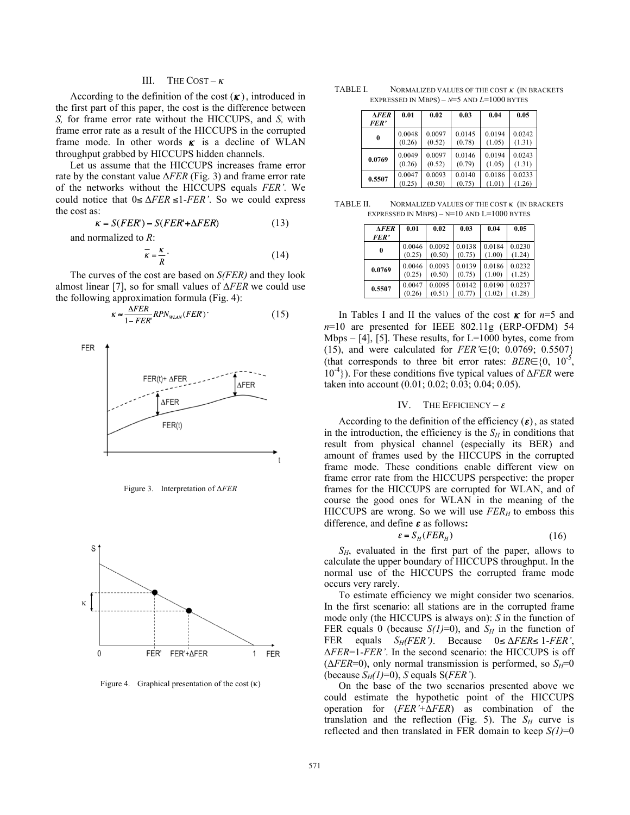## III. THE COST –  $\kappa$

According to the definition of the cost  $(K)$ , introduced in the first part of this paper, the cost is the difference between *S,* for frame error rate without the HICCUPS, and *S,* with frame error rate as a result of the HICCUPS in the corrupted frame mode. In other words  $\kappa$  is a decline of WLAN throughput grabbed by HICCUPS hidden channels.

Let us assume that the HICCUPS increases frame error rate by the constant value  $\Delta FER$  (Fig. 3) and frame error rate of the networks without the HICCUPS equals *FER'.* We could notice that  $0 \le \Delta FER \le 1 - FER'$ . So we could express the cost as:

$$
\kappa = S(FER) - S(FER' + \Delta FER) \tag{13}
$$

and normalized to *R*:

$$
\overline{\kappa} = \frac{\kappa}{R} \tag{14}
$$

The curves of the cost are based on *S(FER)* and they look almost linear [7], so for small values of  $\Delta FER$  we could use the following approximation formula (Fig. 4):

$$
\kappa \approx \frac{\Delta FER}{1 - FER} RPN_{\text{WLAN}}(FER) \tag{15}
$$



Figure 3. Interpretation of  $\triangle FER$ 



Figure 4. Graphical presentation of the cost  $(\kappa)$ 

| TABLE I. | NORMALIZED VALUES OF THE COST $\kappa$ (IN BRACKETS |
|----------|-----------------------------------------------------|
|          | EXPRESSED IN MBPS) – $N=5$ AND $L=1000$ BYTES       |

| <b>AFER</b><br><b>FER'</b> | 0.01   | 0.02   | 0.03   | 0.04   | 0.05   |
|----------------------------|--------|--------|--------|--------|--------|
| 0                          | 0.0048 | 0.0097 | 0.0145 | 0.0194 | 0.0242 |
|                            | (0.26) | (0.52) | (0.78) | (1.05) | (1.31) |
| 0.0769                     | 0.0049 | 0.0097 | 0.0146 | 0.0194 | 0.0243 |
|                            | (0.26) | (0.52) | (0.79) | (1.05) | (1.31) |
| 0.5507                     | 0.0047 | 0.0093 | 0.0140 | 0.0186 | 0.0233 |
|                            | (0.25) | (0.50) | (0.75) | (1.01) | (1.26) |

TABLE II. NORMALIZED VALUES OF THE COST **K** (IN BRACKETS EXPRESSED IN MBPS)  $-$  N=10 AND L=1000 BYTES

| <b>AFER</b><br>FER' | 0.01   | 0.02   | 0.03   | 0.04   | 0.05   |
|---------------------|--------|--------|--------|--------|--------|
| $\mathbf{0}$        | 0.0046 | 0.0092 | 0.0138 | 0.0184 | 0.0230 |
|                     | (0.25) | (0.50) | (0.75) | (1.00) | (1.24) |
| 0.0769              | 0.0046 | 0.0093 | 0.0139 | 0.0186 | 0.0232 |
|                     | (0.25) | (0.50) | (0.75) | (1.00) | (1.25) |
| 0.5507              | 0.0047 | 0.0095 | 0.0142 | 0.0190 | 0.0237 |
|                     | (0.26) | (0.51) | (0.77) | (1.02) | (1.28) |

In Tables I and II the values of the cost  $\kappa$  for  $n=5$  and *n*=10 are presented for IEEE 802.11g (ERP-OFDM) 54 Mbps  $-$  [4], [5]. These results, for L=1000 bytes, come from (15), and were calculated for  $FER \in \{0, 0.0769, 0.5507\}$ (that corresponds to three bit error rates:  $BER \in \{0, 10^{-5}, \dots\}$  $10^{-4}$ ). For these conditions five typical values of  $\Delta FER$  were taken into account (0.01; 0.02; 0.03; 0.04; 0.05).

#### IV. THE EFFICIENCY –  $\varepsilon$

According to the definition of the efficiency  $(\varepsilon)$ , as stated in the introduction, the efficiency is the  $S_H$  in conditions that result from physical channel (especially its BER) and amount of frames used by the HICCUPS in the corrupted frame mode. These conditions enable different view on frame error rate from the HICCUPS perspective: the proper frames for the HICCUPS are corrupted for WLAN, and of course the good ones for WLAN in the meaning of the HICCUPS are wrong. So we will use  $FER_H$  to emboss this difference, and define  $\varepsilon$  as follows:

$$
\varepsilon = S_H (FER_H) \tag{16}
$$

*SH*, evaluated in the first part of the paper, allows to calculate the upper boundary of HICCUPS throughput. In the normal use of the HICCUPS the corrupted frame mode occurs very rarely.

To estimate efficiency we might consider two scenarios. In the first scenario: all stations are in the corrupted frame mode only (the HICCUPS is always on): *S* in the function of FER equals 0 (because  $S(I)=0$ ), and  $S_H$  in the function of FER equals  $S_H(FER')$ . Because  $0 \le \Delta FER \le 1-FER'$ , *FER*=1-*FER'*. In the second scenario: the HICCUPS is off ( $\triangle FER=0$ ), only normal transmission is performed, so  $S<sub>H</sub>=0$ (because  $S_H(1)=0$ ), *S* equals  $S(FER')$ .

On the base of the two scenarios presented above we could estimate the hypothetic point of the HICCUPS operation for  $(FER \nightharpoonup AFER)$  as combination of the translation and the reflection (Fig. 5). The  $S_H$  curve is reflected and then translated in FER domain to keep *S(1)*=0